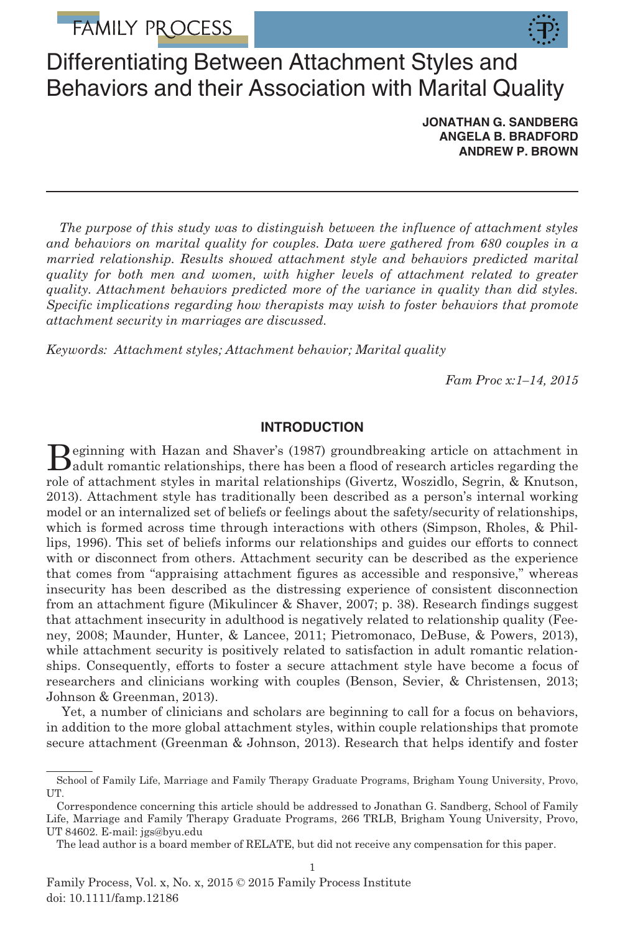# **FAMILY PROCESS**



## Differentiating Between Attachment Styles and Behaviors and their Association with Marital Quality

JONATHAN G. SANDBERG ANGELA B. BRADFORD ANDREW P. BROWN

The purpose of this study was to distinguish between the influence of attachment styles and behaviors on marital quality for couples. Data were gathered from 680 couples in a married relationship. Results showed attachment style and behaviors predicted marital quality for both men and women, with higher levels of attachment related to greater quality. Attachment behaviors predicted more of the variance in quality than did styles. Specific implications regarding how therapists may wish to foster behaviors that promote attachment security in marriages are discussed.

Keywords: Attachment styles; Attachment behavior; Marital quality

Fam Proc x:1–14, 2015

## INTRODUCTION

Beginning with Hazan and Shaver's (1987) groundbreaking article on attachment in<br>adult romantic relationships, there has been a flood of research articles regarding the role of attachment styles in marital relationships (Givertz, Woszidlo, Segrin, & Knutson, 2013). Attachment style has traditionally been described as a person's internal working model or an internalized set of beliefs or feelings about the safety/security of relationships, which is formed across time through interactions with others (Simpson, Rholes, & Phillips, 1996). This set of beliefs informs our relationships and guides our efforts to connect with or disconnect from others. Attachment security can be described as the experience that comes from "appraising attachment figures as accessible and responsive," whereas insecurity has been described as the distressing experience of consistent disconnection from an attachment figure (Mikulincer & Shaver, 2007; p. 38). Research findings suggest that attachment insecurity in adulthood is negatively related to relationship quality (Feeney, 2008; Maunder, Hunter, & Lancee, 2011; Pietromonaco, DeBuse, & Powers, 2013), while attachment security is positively related to satisfaction in adult romantic relationships. Consequently, efforts to foster a secure attachment style have become a focus of researchers and clinicians working with couples (Benson, Sevier, & Christensen, 2013; Johnson & Greenman, 2013).

Yet, a number of clinicians and scholars are beginning to call for a focus on behaviors, in addition to the more global attachment styles, within couple relationships that promote secure attachment (Greenman & Johnson, 2013). Research that helps identify and foster

School of Family Life, Marriage and Family Therapy Graduate Programs, Brigham Young University, Provo, UT.

Correspondence concerning this article should be addressed to Jonathan G. Sandberg, School of Family Life, Marriage and Family Therapy Graduate Programs, 266 TRLB, Brigham Young University, Provo, UT 84602. E-mail: jgs@byu.edu

The lead author is a board member of RELATE, but did not receive any compensation for this paper.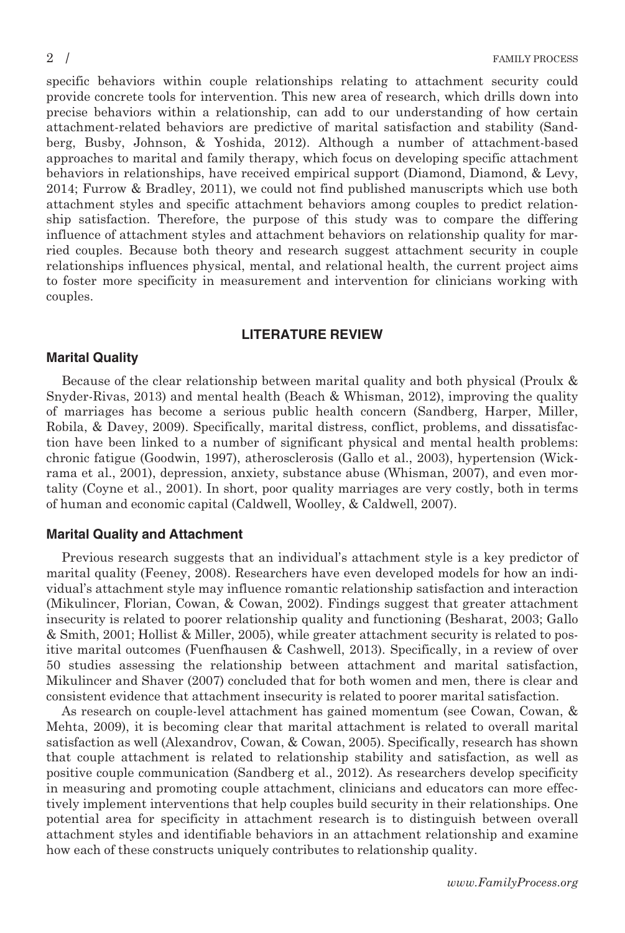specific behaviors within couple relationships relating to attachment security could provide concrete tools for intervention. This new area of research, which drills down into precise behaviors within a relationship, can add to our understanding of how certain attachment-related behaviors are predictive of marital satisfaction and stability (Sandberg, Busby, Johnson, & Yoshida, 2012). Although a number of attachment-based approaches to marital and family therapy, which focus on developing specific attachment behaviors in relationships, have received empirical support (Diamond, Diamond, & Levy, 2014; Furrow & Bradley, 2011), we could not find published manuscripts which use both attachment styles and specific attachment behaviors among couples to predict relationship satisfaction. Therefore, the purpose of this study was to compare the differing influence of attachment styles and attachment behaviors on relationship quality for married couples. Because both theory and research suggest attachment security in couple relationships influences physical, mental, and relational health, the current project aims to foster more specificity in measurement and intervention for clinicians working with couples.

#### LITERATURE REVIEW

#### Marital Quality

Because of the clear relationship between marital quality and both physical (Proulx & Snyder-Rivas, 2013) and mental health (Beach & Whisman, 2012), improving the quality of marriages has become a serious public health concern (Sandberg, Harper, Miller, Robila, & Davey, 2009). Specifically, marital distress, conflict, problems, and dissatisfaction have been linked to a number of significant physical and mental health problems: chronic fatigue (Goodwin, 1997), atherosclerosis (Gallo et al., 2003), hypertension (Wickrama et al., 2001), depression, anxiety, substance abuse (Whisman, 2007), and even mortality (Coyne et al., 2001). In short, poor quality marriages are very costly, both in terms of human and economic capital (Caldwell, Woolley, & Caldwell, 2007).

#### Marital Quality and Attachment

Previous research suggests that an individual's attachment style is a key predictor of marital quality (Feeney, 2008). Researchers have even developed models for how an individual's attachment style may influence romantic relationship satisfaction and interaction (Mikulincer, Florian, Cowan, & Cowan, 2002). Findings suggest that greater attachment insecurity is related to poorer relationship quality and functioning (Besharat, 2003; Gallo & Smith, 2001; Hollist & Miller, 2005), while greater attachment security is related to positive marital outcomes (Fuenfhausen & Cashwell, 2013). Specifically, in a review of over 50 studies assessing the relationship between attachment and marital satisfaction, Mikulincer and Shaver (2007) concluded that for both women and men, there is clear and consistent evidence that attachment insecurity is related to poorer marital satisfaction.

As research on couple-level attachment has gained momentum (see Cowan, Cowan, & Mehta, 2009), it is becoming clear that marital attachment is related to overall marital satisfaction as well (Alexandrov, Cowan, & Cowan, 2005). Specifically, research has shown that couple attachment is related to relationship stability and satisfaction, as well as positive couple communication (Sandberg et al., 2012). As researchers develop specificity in measuring and promoting couple attachment, clinicians and educators can more effectively implement interventions that help couples build security in their relationships. One potential area for specificity in attachment research is to distinguish between overall attachment styles and identifiable behaviors in an attachment relationship and examine how each of these constructs uniquely contributes to relationship quality.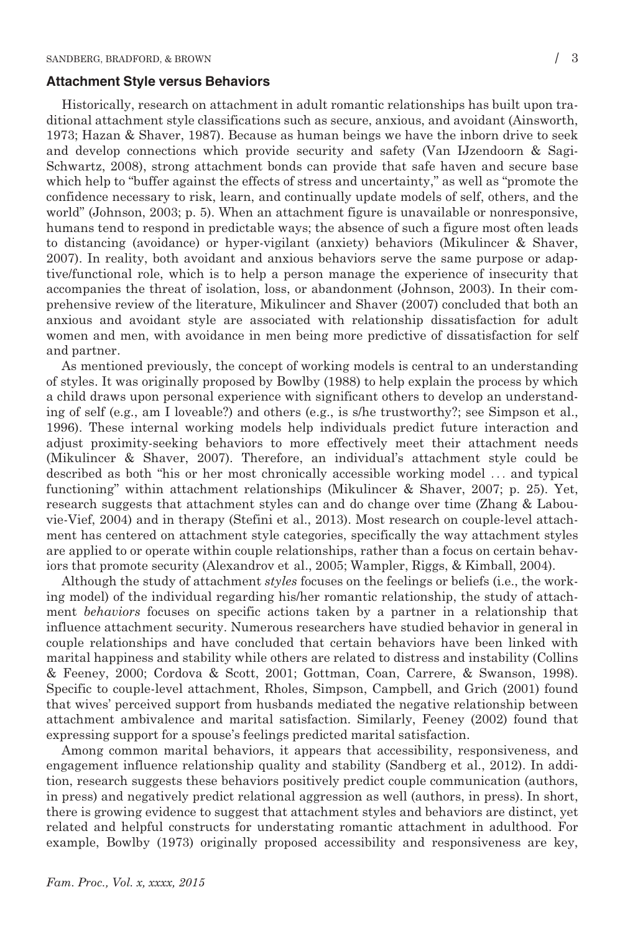#### Attachment Style versus Behaviors

Historically, research on attachment in adult romantic relationships has built upon traditional attachment style classifications such as secure, anxious, and avoidant (Ainsworth, 1973; Hazan & Shaver, 1987). Because as human beings we have the inborn drive to seek and develop connections which provide security and safety (Van IJzendoorn & Sagi-Schwartz, 2008), strong attachment bonds can provide that safe haven and secure base which help to "buffer against the effects of stress and uncertainty," as well as "promote the confidence necessary to risk, learn, and continually update models of self, others, and the world" (Johnson, 2003; p. 5). When an attachment figure is unavailable or nonresponsive, humans tend to respond in predictable ways; the absence of such a figure most often leads to distancing (avoidance) or hyper-vigilant (anxiety) behaviors (Mikulincer & Shaver, 2007). In reality, both avoidant and anxious behaviors serve the same purpose or adaptive/functional role, which is to help a person manage the experience of insecurity that accompanies the threat of isolation, loss, or abandonment (Johnson, 2003). In their comprehensive review of the literature, Mikulincer and Shaver (2007) concluded that both an anxious and avoidant style are associated with relationship dissatisfaction for adult women and men, with avoidance in men being more predictive of dissatisfaction for self and partner.

As mentioned previously, the concept of working models is central to an understanding of styles. It was originally proposed by Bowlby (1988) to help explain the process by which a child draws upon personal experience with significant others to develop an understanding of self (e.g., am I loveable?) and others (e.g., is s/he trustworthy?; see Simpson et al., 1996). These internal working models help individuals predict future interaction and adjust proximity-seeking behaviors to more effectively meet their attachment needs (Mikulincer & Shaver, 2007). Therefore, an individual's attachment style could be described as both "his or her most chronically accessible working model ... and typical functioning" within attachment relationships (Mikulincer & Shaver, 2007; p. 25). Yet, research suggests that attachment styles can and do change over time (Zhang & Labouvie-Vief, 2004) and in therapy (Stefini et al., 2013). Most research on couple-level attachment has centered on attachment style categories, specifically the way attachment styles are applied to or operate within couple relationships, rather than a focus on certain behaviors that promote security (Alexandrov et al., 2005; Wampler, Riggs, & Kimball, 2004).

Although the study of attachment styles focuses on the feelings or beliefs (i.e., the working model) of the individual regarding his/her romantic relationship, the study of attachment behaviors focuses on specific actions taken by a partner in a relationship that influence attachment security. Numerous researchers have studied behavior in general in couple relationships and have concluded that certain behaviors have been linked with marital happiness and stability while others are related to distress and instability (Collins & Feeney, 2000; Cordova & Scott, 2001; Gottman, Coan, Carrere, & Swanson, 1998). Specific to couple-level attachment, Rholes, Simpson, Campbell, and Grich (2001) found that wives' perceived support from husbands mediated the negative relationship between attachment ambivalence and marital satisfaction. Similarly, Feeney (2002) found that expressing support for a spouse's feelings predicted marital satisfaction.

Among common marital behaviors, it appears that accessibility, responsiveness, and engagement influence relationship quality and stability (Sandberg et al., 2012). In addition, research suggests these behaviors positively predict couple communication (authors, in press) and negatively predict relational aggression as well (authors, in press). In short, there is growing evidence to suggest that attachment styles and behaviors are distinct, yet related and helpful constructs for understating romantic attachment in adulthood. For example, Bowlby (1973) originally proposed accessibility and responsiveness are key,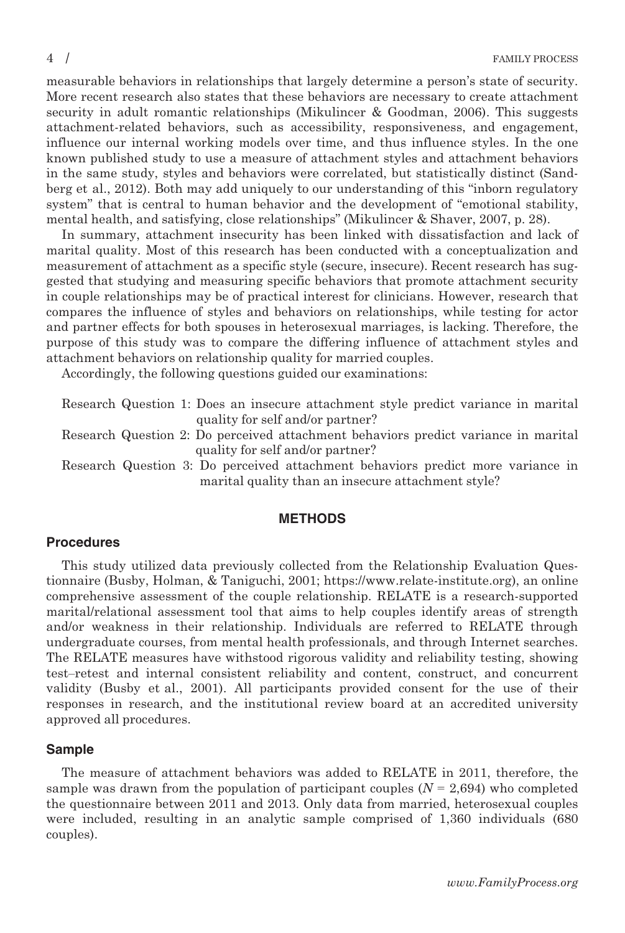measurable behaviors in relationships that largely determine a person's state of security. More recent research also states that these behaviors are necessary to create attachment security in adult romantic relationships (Mikulincer & Goodman, 2006). This suggests attachment-related behaviors, such as accessibility, responsiveness, and engagement, influence our internal working models over time, and thus influence styles. In the one known published study to use a measure of attachment styles and attachment behaviors in the same study, styles and behaviors were correlated, but statistically distinct (Sandberg et al., 2012). Both may add uniquely to our understanding of this "inborn regulatory system" that is central to human behavior and the development of "emotional stability, mental health, and satisfying, close relationships" (Mikulincer & Shaver, 2007, p. 28).

In summary, attachment insecurity has been linked with dissatisfaction and lack of marital quality. Most of this research has been conducted with a conceptualization and measurement of attachment as a specific style (secure, insecure). Recent research has suggested that studying and measuring specific behaviors that promote attachment security in couple relationships may be of practical interest for clinicians. However, research that compares the influence of styles and behaviors on relationships, while testing for actor and partner effects for both spouses in heterosexual marriages, is lacking. Therefore, the purpose of this study was to compare the differing influence of attachment styles and attachment behaviors on relationship quality for married couples.

Accordingly, the following questions guided our examinations:

Research Question 1: Does an insecure attachment style predict variance in marital quality for self and/or partner?

Research Question 2: Do perceived attachment behaviors predict variance in marital quality for self and/or partner?

Research Question 3: Do perceived attachment behaviors predict more variance in marital quality than an insecure attachment style?

#### METHODS

## Procedures

This study utilized data previously collected from the Relationship Evaluation Questionnaire (Busby, Holman, & Taniguchi, 2001;<https://www.relate-institute.org>), an online comprehensive assessment of the couple relationship. RELATE is a research-supported marital/relational assessment tool that aims to help couples identify areas of strength and/or weakness in their relationship. Individuals are referred to RELATE through undergraduate courses, from mental health professionals, and through Internet searches. The RELATE measures have withstood rigorous validity and reliability testing, showing test–retest and internal consistent reliability and content, construct, and concurrent validity (Busby et al., 2001). All participants provided consent for the use of their responses in research, and the institutional review board at an accredited university approved all procedures.

#### Sample

The measure of attachment behaviors was added to RELATE in 2011, therefore, the sample was drawn from the population of participant couples  $(N = 2,694)$  who completed the questionnaire between 2011 and 2013. Only data from married, heterosexual couples were included, resulting in an analytic sample comprised of 1,360 individuals (680 couples).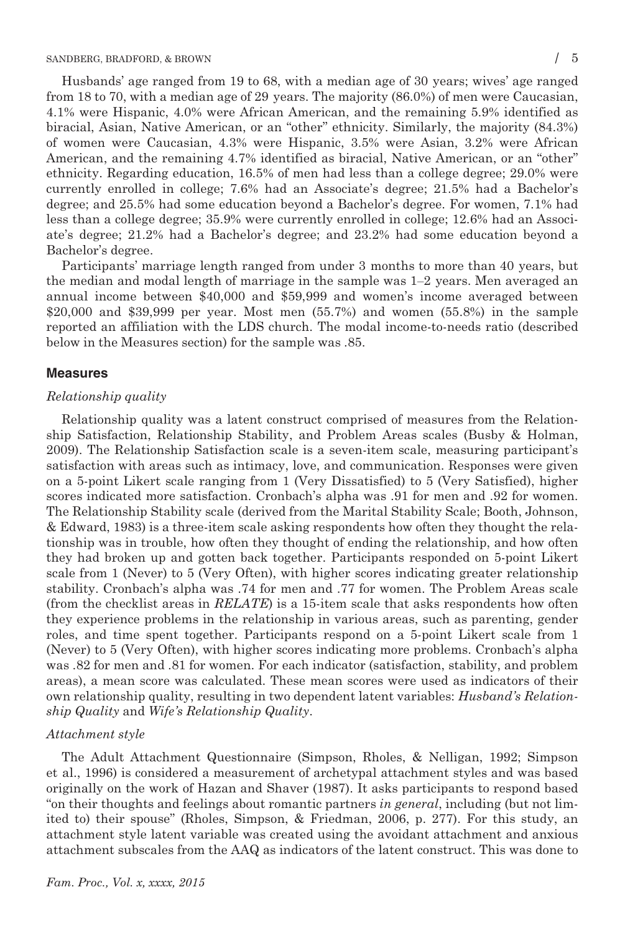Husbands' age ranged from 19 to 68, with a median age of 30 years; wives' age ranged from 18 to 70, with a median age of 29 years. The majority (86.0%) of men were Caucasian, 4.1% were Hispanic, 4.0% were African American, and the remaining 5.9% identified as biracial, Asian, Native American, or an "other" ethnicity. Similarly, the majority (84.3%) of women were Caucasian, 4.3% were Hispanic, 3.5% were Asian, 3.2% were African American, and the remaining 4.7% identified as biracial, Native American, or an "other" ethnicity. Regarding education, 16.5% of men had less than a college degree; 29.0% were currently enrolled in college; 7.6% had an Associate's degree; 21.5% had a Bachelor's degree; and 25.5% had some education beyond a Bachelor's degree. For women, 7.1% had less than a college degree; 35.9% were currently enrolled in college; 12.6% had an Associate's degree; 21.2% had a Bachelor's degree; and 23.2% had some education beyond a Bachelor's degree.

Participants' marriage length ranged from under 3 months to more than 40 years, but the median and modal length of marriage in the sample was 1–2 years. Men averaged an annual income between \$40,000 and \$59,999 and women's income averaged between \$20,000 and \$39,999 per year. Most men (55.7%) and women (55.8%) in the sample reported an affiliation with the LDS church. The modal income-to-needs ratio (described below in the Measures section) for the sample was .85.

#### Measures

#### Relationship quality

Relationship quality was a latent construct comprised of measures from the Relationship Satisfaction, Relationship Stability, and Problem Areas scales (Busby & Holman, 2009). The Relationship Satisfaction scale is a seven-item scale, measuring participant's satisfaction with areas such as intimacy, love, and communication. Responses were given on a 5-point Likert scale ranging from 1 (Very Dissatisfied) to 5 (Very Satisfied), higher scores indicated more satisfaction. Cronbach's alpha was .91 for men and .92 for women. The Relationship Stability scale (derived from the Marital Stability Scale; Booth, Johnson, & Edward, 1983) is a three-item scale asking respondents how often they thought the relationship was in trouble, how often they thought of ending the relationship, and how often they had broken up and gotten back together. Participants responded on 5-point Likert scale from 1 (Never) to 5 (Very Often), with higher scores indicating greater relationship stability. Cronbach's alpha was .74 for men and .77 for women. The Problem Areas scale (from the checklist areas in RELATE) is a 15-item scale that asks respondents how often they experience problems in the relationship in various areas, such as parenting, gender roles, and time spent together. Participants respond on a 5-point Likert scale from 1 (Never) to 5 (Very Often), with higher scores indicating more problems. Cronbach's alpha was .82 for men and .81 for women. For each indicator (satisfaction, stability, and problem areas), a mean score was calculated. These mean scores were used as indicators of their own relationship quality, resulting in two dependent latent variables: Husband's Relationship Quality and Wife's Relationship Quality.

#### Attachment style

The Adult Attachment Questionnaire (Simpson, Rholes, & Nelligan, 1992; Simpson et al., 1996) is considered a measurement of archetypal attachment styles and was based originally on the work of Hazan and Shaver (1987). It asks participants to respond based "on their thoughts and feelings about romantic partners in general, including (but not limited to) their spouse" (Rholes, Simpson, & Friedman, 2006, p. 277). For this study, an attachment style latent variable was created using the avoidant attachment and anxious attachment subscales from the AAQ as indicators of the latent construct. This was done to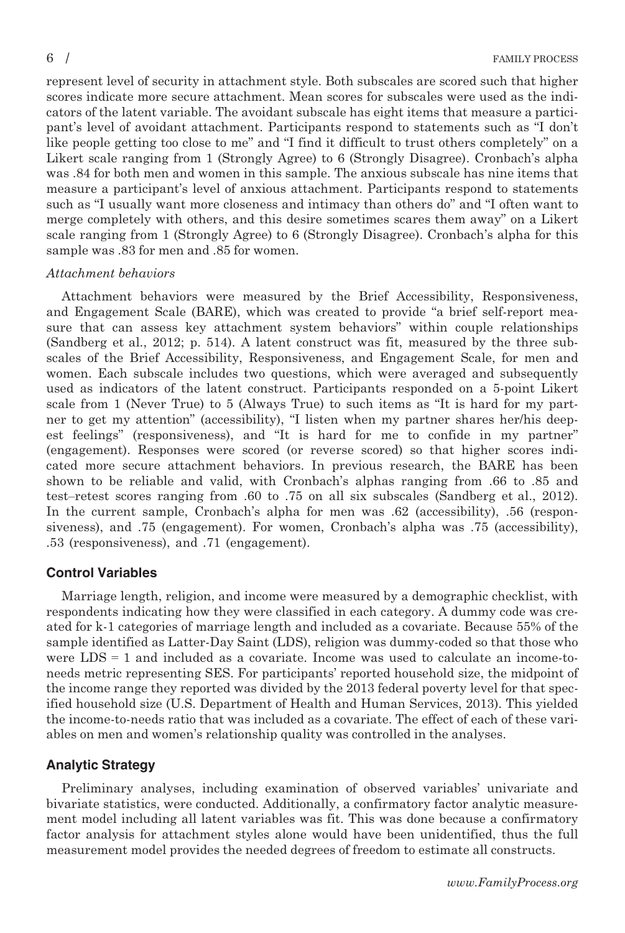represent level of security in attachment style. Both subscales are scored such that higher scores indicate more secure attachment. Mean scores for subscales were used as the indicators of the latent variable. The avoidant subscale has eight items that measure a participant's level of avoidant attachment. Participants respond to statements such as "I don't like people getting too close to me" and "I find it difficult to trust others completely" on a Likert scale ranging from 1 (Strongly Agree) to 6 (Strongly Disagree). Cronbach's alpha was .84 for both men and women in this sample. The anxious subscale has nine items that measure a participant's level of anxious attachment. Participants respond to statements such as "I usually want more closeness and intimacy than others do" and "I often want to merge completely with others, and this desire sometimes scares them away" on a Likert scale ranging from 1 (Strongly Agree) to 6 (Strongly Disagree). Cronbach's alpha for this sample was .83 for men and .85 for women.

## Attachment behaviors

Attachment behaviors were measured by the Brief Accessibility, Responsiveness, and Engagement Scale (BARE), which was created to provide "a brief self-report measure that can assess key attachment system behaviors" within couple relationships (Sandberg et al., 2012; p. 514). A latent construct was fit, measured by the three subscales of the Brief Accessibility, Responsiveness, and Engagement Scale, for men and women. Each subscale includes two questions, which were averaged and subsequently used as indicators of the latent construct. Participants responded on a 5-point Likert scale from 1 (Never True) to 5 (Always True) to such items as "It is hard for my partner to get my attention" (accessibility), "I listen when my partner shares her/his deepest feelings" (responsiveness), and "It is hard for me to confide in my partner" (engagement). Responses were scored (or reverse scored) so that higher scores indicated more secure attachment behaviors. In previous research, the BARE has been shown to be reliable and valid, with Cronbach's alphas ranging from .66 to .85 and test–retest scores ranging from .60 to .75 on all six subscales (Sandberg et al., 2012). In the current sample, Cronbach's alpha for men was .62 (accessibility), .56 (responsiveness), and .75 (engagement). For women, Cronbach's alpha was .75 (accessibility), .53 (responsiveness), and .71 (engagement).

## Control Variables

Marriage length, religion, and income were measured by a demographic checklist, with respondents indicating how they were classified in each category. A dummy code was created for k-1 categories of marriage length and included as a covariate. Because 55% of the sample identified as Latter-Day Saint (LDS), religion was dummy-coded so that those who were LDS = 1 and included as a covariate. Income was used to calculate an income-toneeds metric representing SES. For participants' reported household size, the midpoint of the income range they reported was divided by the 2013 federal poverty level for that specified household size (U.S. Department of Health and Human Services, 2013). This yielded the income-to-needs ratio that was included as a covariate. The effect of each of these variables on men and women's relationship quality was controlled in the analyses.

## Analytic Strategy

Preliminary analyses, including examination of observed variables' univariate and bivariate statistics, were conducted. Additionally, a confirmatory factor analytic measurement model including all latent variables was fit. This was done because a confirmatory factor analysis for attachment styles alone would have been unidentified, thus the full measurement model provides the needed degrees of freedom to estimate all constructs.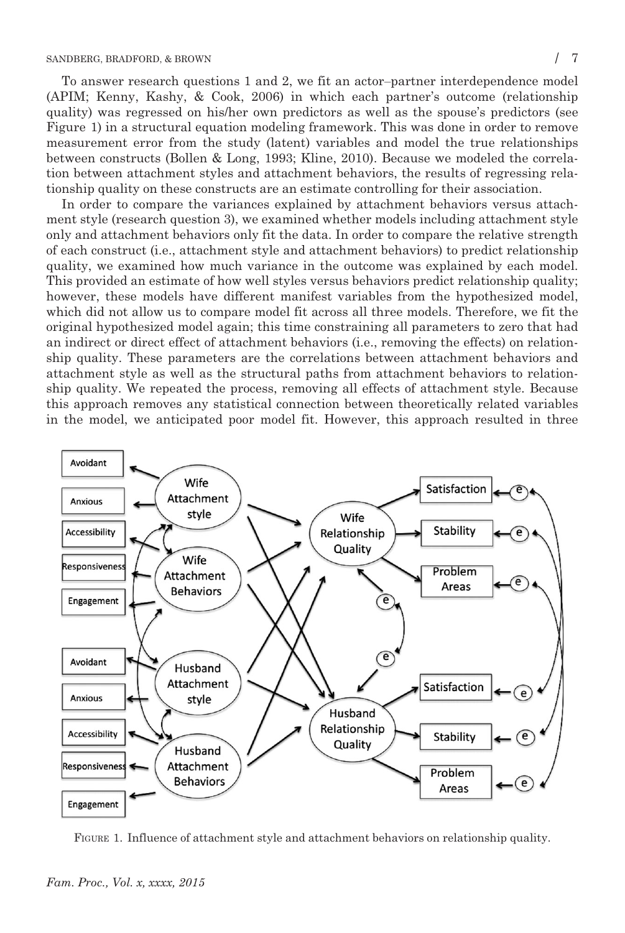To answer research questions 1 and 2, we fit an actor–partner interdependence model (APIM; Kenny, Kashy, & Cook, 2006) in which each partner's outcome (relationship quality) was regressed on his/her own predictors as well as the spouse's predictors (see Figure 1) in a structural equation modeling framework. This was done in order to remove measurement error from the study (latent) variables and model the true relationships between constructs (Bollen & Long, 1993; Kline, 2010). Because we modeled the correlation between attachment styles and attachment behaviors, the results of regressing relationship quality on these constructs are an estimate controlling for their association.

In order to compare the variances explained by attachment behaviors versus attachment style (research question 3), we examined whether models including attachment style only and attachment behaviors only fit the data. In order to compare the relative strength of each construct (i.e., attachment style and attachment behaviors) to predict relationship quality, we examined how much variance in the outcome was explained by each model. This provided an estimate of how well styles versus behaviors predict relationship quality; however, these models have different manifest variables from the hypothesized model, which did not allow us to compare model fit across all three models. Therefore, we fit the original hypothesized model again; this time constraining all parameters to zero that had an indirect or direct effect of attachment behaviors (i.e., removing the effects) on relationship quality. These parameters are the correlations between attachment behaviors and attachment style as well as the structural paths from attachment behaviors to relationship quality. We repeated the process, removing all effects of attachment style. Because this approach removes any statistical connection between theoretically related variables in the model, we anticipated poor model fit. However, this approach resulted in three



FIGURE 1. Influence of attachment style and attachment behaviors on relationship quality.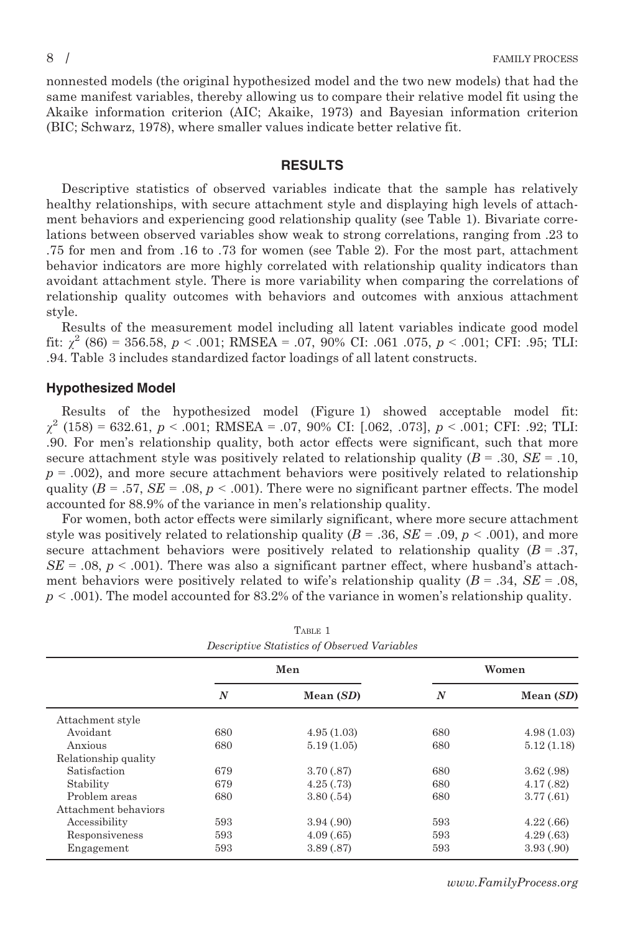nonnested models (the original hypothesized model and the two new models) that had the same manifest variables, thereby allowing us to compare their relative model fit using the Akaike information criterion (AIC; Akaike, 1973) and Bayesian information criterion (BIC; Schwarz, 1978), where smaller values indicate better relative fit.

## RESULTS

Descriptive statistics of observed variables indicate that the sample has relatively healthy relationships, with secure attachment style and displaying high levels of attachment behaviors and experiencing good relationship quality (see Table 1). Bivariate correlations between observed variables show weak to strong correlations, ranging from .23 to .75 for men and from .16 to .73 for women (see Table 2). For the most part, attachment behavior indicators are more highly correlated with relationship quality indicators than avoidant attachment style. There is more variability when comparing the correlations of relationship quality outcomes with behaviors and outcomes with anxious attachment style.

Results of the measurement model including all latent variables indicate good model fit:  $\chi^2$  (86) = 356.58, p < .001; RMSEA = .07, 90% CI: .061 .075, p < .001; CFI: .95; TLI: .94. Table 3 includes standardized factor loadings of all latent constructs.

#### Hypothesized Model

Results of the hypothesized model (Figure 1) showed acceptable model fit:  $\chi^2$  (158) = 632.61, p < .001; RMSEA = .07, 90% CI: [.062, .073], p < .001; CFI: .92; TLI: .90. For men's relationship quality, both actor effects were significant, such that more secure attachment style was positively related to relationship quality ( $B = .30$ ,  $SE = .10$ ,  $p = .002$ , and more secure attachment behaviors were positively related to relationship quality ( $B = .57$ ,  $SE = .08$ ,  $p < .001$ ). There were no significant partner effects. The model accounted for 88.9% of the variance in men's relationship quality.

For women, both actor effects were similarly significant, where more secure attachment style was positively related to relationship quality ( $B = .36$ ,  $SE = .09$ ,  $p < .001$ ), and more secure attachment behaviors were positively related to relationship quality  $(B = .37, )$  $SE = .08$ ,  $p < .001$ ). There was also a significant partner effect, where husband's attachment behaviors were positively related to wife's relationship quality ( $B = .34$ ,  $SE = .08$ ,  $p < .001$ ). The model accounted for 83.2% of the variance in women's relationship quality.

| Descriptive Statistics of Observed Variables |     |             |       |             |  |  |  |
|----------------------------------------------|-----|-------------|-------|-------------|--|--|--|
|                                              | Men |             | Women |             |  |  |  |
|                                              | N   | Mean $(SD)$ | N     | Mean $(SD)$ |  |  |  |
| Attachment style                             |     |             |       |             |  |  |  |
| Avoidant                                     | 680 | 4.95(1.03)  | 680   | 4.98(1.03)  |  |  |  |
| Anxious                                      | 680 | 5.19(1.05)  | 680   | 5.12(1.18)  |  |  |  |
| Relationship quality                         |     |             |       |             |  |  |  |
| Satisfaction                                 | 679 | 3.70(.87)   | 680   | 3.62(.98)   |  |  |  |
| Stability                                    | 679 | 4.25(.73)   | 680   | 4.17(.82)   |  |  |  |
| Problem areas                                | 680 | 3.80(.54)   | 680   | 3.77(.61)   |  |  |  |
| Attachment behaviors                         |     |             |       |             |  |  |  |
| Accessibility                                | 593 | 3.94(.90)   | 593   | 4.22(.66)   |  |  |  |
| Responsiveness                               | 593 | 4.09(.65)   | 593   | 4.29(.63)   |  |  |  |
| Engagement                                   | 593 | 3.89(.87)   | 593   | 3.93(.90)   |  |  |  |

TABLE 1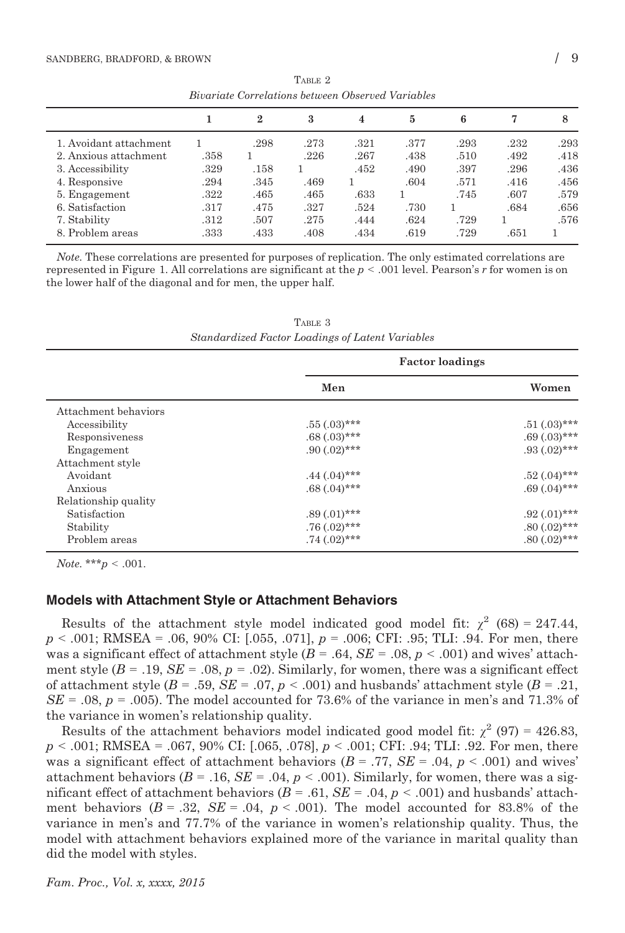| Divui iuve Correvativo octivechi Obocrea run iuote |      |             |      |      |      |      |      |      |
|----------------------------------------------------|------|-------------|------|------|------|------|------|------|
|                                                    |      | $\mathbf 2$ | 3    | 4    | 5    | 6    |      | 8    |
| 1. Avoidant attachment                             |      | .298        | .273 | .321 | .377 | .293 | .232 | .293 |
| 2. Anxious attachment                              | .358 |             | .226 | .267 | .438 | .510 | .492 | .418 |
| 3. Accessibility                                   | .329 | .158        |      | .452 | .490 | .397 | .296 | .436 |
| 4. Responsive                                      | .294 | .345        | .469 |      | .604 | .571 | .416 | .456 |
| 5. Engagement                                      | .322 | .465        | .465 | .633 |      | .745 | .607 | .579 |
| 6. Satisfaction                                    | .317 | .475        | .327 | .524 | .730 |      | .684 | .656 |
| 7. Stability                                       | .312 | .507        | .275 | .444 | .624 | .729 |      | .576 |
| 8. Problem areas                                   | .333 | .433        | .408 | .434 | .619 | .729 | .651 |      |

TABLE 2 Bivariate Correlations between Observed Variables

Note. These correlations are presented for purposes of replication. The only estimated correlations are represented in Figure 1. All correlations are significant at the  $p < .001$  level. Pearson's r for women is on the lower half of the diagonal and for men, the upper half.

TABLE 3 Standardized Factor Loadings of Latent Variables

|                      | <b>Factor loadings</b> |                   |  |
|----------------------|------------------------|-------------------|--|
|                      | Men                    | Women             |  |
| Attachment behaviors |                        |                   |  |
| Accessibility        | $.55(.03)$ ***         | $.51(.03)$ ***    |  |
| Responsiveness       | $.68(.03)$ ***         | $.69(.03)$ ***    |  |
| Engagement           | $.90(.02)$ ***         | $.93(.02)$ ***    |  |
| Attachment style     |                        |                   |  |
| Avoidant             | $.44 \,(.04)$ ***      | $.52 \,(.04)$ *** |  |
| Anxious              | $.68(.04)$ ***         | $.69(.04)$ ***    |  |
| Relationship quality |                        |                   |  |
| Satisfaction         | $.89(.01)$ ***         | $.92(.01)$ ***    |  |
| Stability            | $.76(.02)$ ***         | $.80(.02)$ ***    |  |
| Problem areas        | $.74 \,(.02)$ ***      | $.80(.02)$ ***    |  |

Note. \*\*\* $p < .001$ .

#### Models with Attachment Style or Attachment Behaviors

Results of the attachment style model indicated good model fit:  $\chi^2$  (68) = 247.44,  $p < .001$ ; RMSEA =  $.06, 90\%$  CI: [ $.055, .071$ ],  $p = .006$ ; CFI:  $.95$ ; TLI:  $.94$ . For men, there was a significant effect of attachment style  $(B = .64, SE = .08, p < .001)$  and wives' attachment style  $(B = .19, SE = .08, p = .02)$ . Similarly, for women, there was a significant effect of attachment style  $(B = .59, SE = .07, p < .001)$  and husbands' attachment style  $(B = .21,$  $SE = .08$ ,  $p = .005$ ). The model accounted for 73.6% of the variance in men's and 71.3% of the variance in women's relationship quality.

Results of the attachment behaviors model indicated good model fit:  $\chi^2$  (97) = 426.83,  $p < .001$ ; RMSEA = .067, 90% CI: [.065, .078],  $p < .001$ ; CFI: .94; TLI: .92. For men, there was a significant effect of attachment behaviors ( $B = .77$ ,  $SE = .04$ ,  $p < .001$ ) and wives' attachment behaviors ( $B = .16$ ,  $SE = .04$ ,  $p < .001$ ). Similarly, for women, there was a significant effect of attachment behaviors ( $B = .61$ ,  $SE = .04$ ,  $p < .001$ ) and husbands' attachment behaviors  $(B = .32, SE = .04, p < .001)$ . The model accounted for 83.8% of the variance in men's and 77.7% of the variance in women's relationship quality. Thus, the model with attachment behaviors explained more of the variance in marital quality than did the model with styles.

Fam. Proc., Vol. x, xxxx, 2015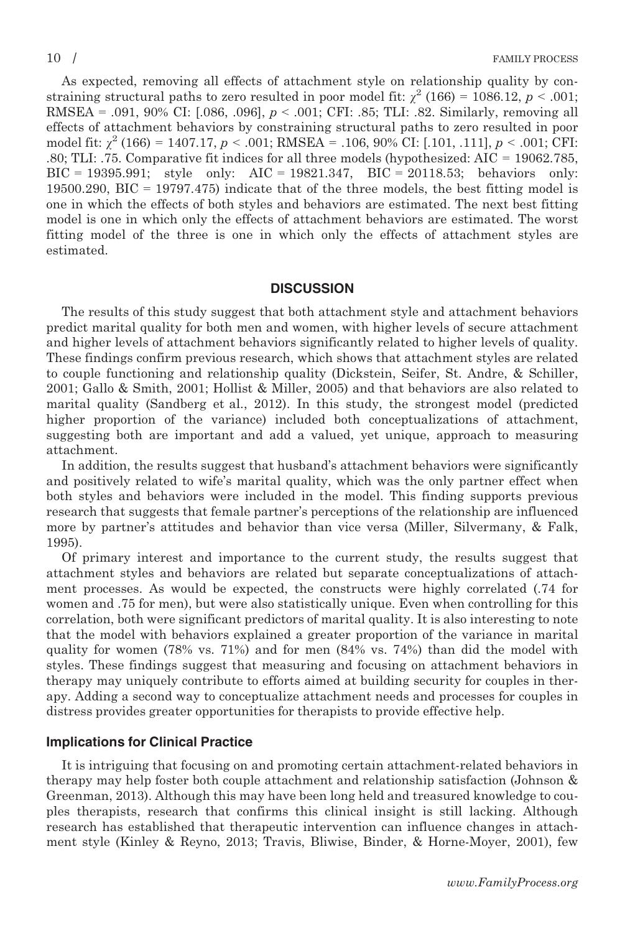As expected, removing all effects of attachment style on relationship quality by constraining structural paths to zero resulted in poor model fit:  $\chi^2$  (166) = 1086.12, p < .001; RMSEA = .091, 90% CI: [.086, .096],  $p < .001$ ; CFI: .85; TLI: .82. Similarly, removing all effects of attachment behaviors by constraining structural paths to zero resulted in poor model fit:  $\chi^2$  (166) = 1407.17, p < .001; RMSEA = .106, 90% CI: [.101, .111], p < .001; CFI: .80; TLI: .75. Comparative fit indices for all three models (hypothesized: AIC = 19062.785, BIC = 19395.991; style only: AIC = 19821.347, BIC = 20118.53; behaviors only: 19500.290, BIC = 19797.475) indicate that of the three models, the best fitting model is one in which the effects of both styles and behaviors are estimated. The next best fitting model is one in which only the effects of attachment behaviors are estimated. The worst fitting model of the three is one in which only the effects of attachment styles are estimated.

#### **DISCUSSION**

The results of this study suggest that both attachment style and attachment behaviors predict marital quality for both men and women, with higher levels of secure attachment and higher levels of attachment behaviors significantly related to higher levels of quality. These findings confirm previous research, which shows that attachment styles are related to couple functioning and relationship quality (Dickstein, Seifer, St. Andre, & Schiller, 2001; Gallo & Smith, 2001; Hollist & Miller, 2005) and that behaviors are also related to marital quality (Sandberg et al., 2012). In this study, the strongest model (predicted higher proportion of the variance) included both conceptualizations of attachment, suggesting both are important and add a valued, yet unique, approach to measuring attachment.

In addition, the results suggest that husband's attachment behaviors were significantly and positively related to wife's marital quality, which was the only partner effect when both styles and behaviors were included in the model. This finding supports previous research that suggests that female partner's perceptions of the relationship are influenced more by partner's attitudes and behavior than vice versa (Miller, Silvermany, & Falk, 1995).

Of primary interest and importance to the current study, the results suggest that attachment styles and behaviors are related but separate conceptualizations of attachment processes. As would be expected, the constructs were highly correlated (.74 for women and .75 for men), but were also statistically unique. Even when controlling for this correlation, both were significant predictors of marital quality. It is also interesting to note that the model with behaviors explained a greater proportion of the variance in marital quality for women (78% vs. 71%) and for men (84% vs. 74%) than did the model with styles. These findings suggest that measuring and focusing on attachment behaviors in therapy may uniquely contribute to efforts aimed at building security for couples in therapy. Adding a second way to conceptualize attachment needs and processes for couples in distress provides greater opportunities for therapists to provide effective help.

#### Implications for Clinical Practice

It is intriguing that focusing on and promoting certain attachment-related behaviors in therapy may help foster both couple attachment and relationship satisfaction (Johnson & Greenman, 2013). Although this may have been long held and treasured knowledge to couples therapists, research that confirms this clinical insight is still lacking. Although research has established that therapeutic intervention can influence changes in attachment style (Kinley & Reyno, 2013; Travis, Bliwise, Binder, & Horne-Moyer, 2001), few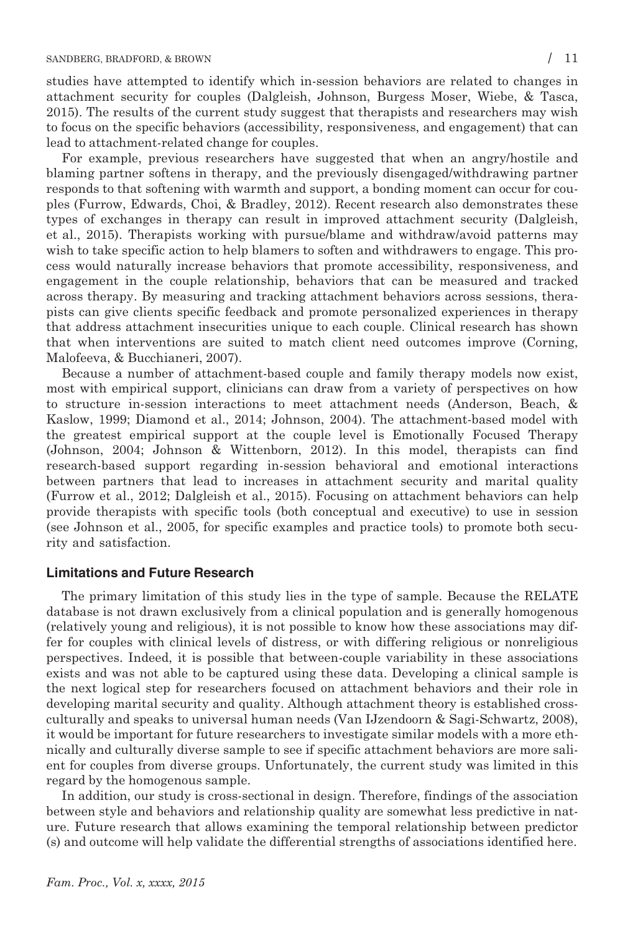studies have attempted to identify which in-session behaviors are related to changes in attachment security for couples (Dalgleish, Johnson, Burgess Moser, Wiebe, & Tasca, 2015). The results of the current study suggest that therapists and researchers may wish to focus on the specific behaviors (accessibility, responsiveness, and engagement) that can lead to attachment-related change for couples.

For example, previous researchers have suggested that when an angry/hostile and blaming partner softens in therapy, and the previously disengaged/withdrawing partner responds to that softening with warmth and support, a bonding moment can occur for couples (Furrow, Edwards, Choi, & Bradley, 2012). Recent research also demonstrates these types of exchanges in therapy can result in improved attachment security (Dalgleish, et al., 2015). Therapists working with pursue/blame and withdraw/avoid patterns may wish to take specific action to help blamers to soften and withdrawers to engage. This process would naturally increase behaviors that promote accessibility, responsiveness, and engagement in the couple relationship, behaviors that can be measured and tracked across therapy. By measuring and tracking attachment behaviors across sessions, therapists can give clients specific feedback and promote personalized experiences in therapy that address attachment insecurities unique to each couple. Clinical research has shown that when interventions are suited to match client need outcomes improve (Corning, Malofeeva, & Bucchianeri, 2007).

Because a number of attachment-based couple and family therapy models now exist, most with empirical support, clinicians can draw from a variety of perspectives on how to structure in-session interactions to meet attachment needs (Anderson, Beach, & Kaslow, 1999; Diamond et al., 2014; Johnson, 2004). The attachment-based model with the greatest empirical support at the couple level is Emotionally Focused Therapy (Johnson, 2004; Johnson & Wittenborn, 2012). In this model, therapists can find research-based support regarding in-session behavioral and emotional interactions between partners that lead to increases in attachment security and marital quality (Furrow et al., 2012; Dalgleish et al., 2015). Focusing on attachment behaviors can help provide therapists with specific tools (both conceptual and executive) to use in session (see Johnson et al., 2005, for specific examples and practice tools) to promote both security and satisfaction.

## Limitations and Future Research

The primary limitation of this study lies in the type of sample. Because the RELATE database is not drawn exclusively from a clinical population and is generally homogenous (relatively young and religious), it is not possible to know how these associations may differ for couples with clinical levels of distress, or with differing religious or nonreligious perspectives. Indeed, it is possible that between-couple variability in these associations exists and was not able to be captured using these data. Developing a clinical sample is the next logical step for researchers focused on attachment behaviors and their role in developing marital security and quality. Although attachment theory is established crossculturally and speaks to universal human needs (Van IJzendoorn & Sagi-Schwartz, 2008), it would be important for future researchers to investigate similar models with a more ethnically and culturally diverse sample to see if specific attachment behaviors are more salient for couples from diverse groups. Unfortunately, the current study was limited in this regard by the homogenous sample.

In addition, our study is cross-sectional in design. Therefore, findings of the association between style and behaviors and relationship quality are somewhat less predictive in nature. Future research that allows examining the temporal relationship between predictor (s) and outcome will help validate the differential strengths of associations identified here.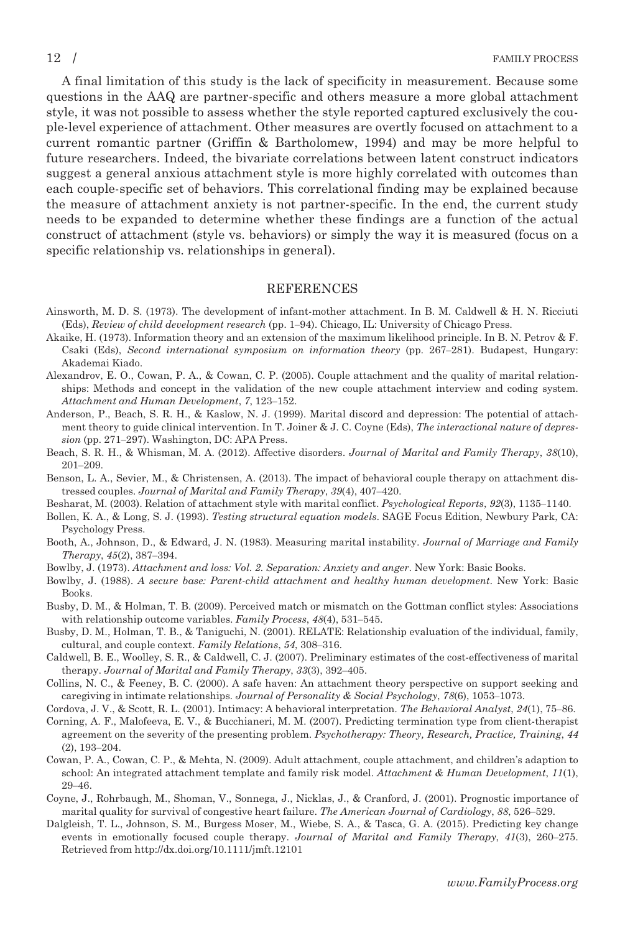A final limitation of this study is the lack of specificity in measurement. Because some questions in the AAQ are partner-specific and others measure a more global attachment style, it was not possible to assess whether the style reported captured exclusively the couple-level experience of attachment. Other measures are overtly focused on attachment to a current romantic partner (Griffin & Bartholomew, 1994) and may be more helpful to future researchers. Indeed, the bivariate correlations between latent construct indicators suggest a general anxious attachment style is more highly correlated with outcomes than each couple-specific set of behaviors. This correlational finding may be explained because the measure of attachment anxiety is not partner-specific. In the end, the current study needs to be expanded to determine whether these findings are a function of the actual construct of attachment (style vs. behaviors) or simply the way it is measured (focus on a specific relationship vs. relationships in general).

#### REFERENCES

- Ainsworth, M. D. S. (1973). The development of infant-mother attachment. In B. M. Caldwell & H. N. Ricciuti (Eds), Review of child development research (pp. 1–94). Chicago, IL: University of Chicago Press.
- Akaike, H. (1973). Information theory and an extension of the maximum likelihood principle. In B. N. Petrov & F. Csaki (Eds), Second international symposium on information theory (pp. 267–281). Budapest, Hungary: Akademai Kiado.
- Alexandrov, E. O., Cowan, P. A., & Cowan, C. P. (2005). Couple attachment and the quality of marital relationships: Methods and concept in the validation of the new couple attachment interview and coding system. Attachment and Human Development, 7, 123–152.
- Anderson, P., Beach, S. R. H., & Kaslow, N. J. (1999). Marital discord and depression: The potential of attachment theory to guide clinical intervention. In T. Joiner & J. C. Coyne (Eds), The interactional nature of depression (pp. 271–297). Washington, DC: APA Press.
- Beach, S. R. H., & Whisman, M. A. (2012). Affective disorders. Journal of Marital and Family Therapy, 38(10), 201–209.
- Benson, L. A., Sevier, M., & Christensen, A. (2013). The impact of behavioral couple therapy on attachment distressed couples. Journal of Marital and Family Therapy, 39(4), 407–420.
- Besharat, M. (2003). Relation of attachment style with marital conflict. Psychological Reports, 92(3), 1135–1140.
- Bollen, K. A., & Long, S. J. (1993). Testing structural equation models. SAGE Focus Edition, Newbury Park, CA: Psychology Press.
- Booth, A., Johnson, D., & Edward, J. N. (1983). Measuring marital instability. Journal of Marriage and Family Therapy, 45(2), 387–394.
- Bowlby, J. (1973). Attachment and loss: Vol. 2. Separation: Anxiety and anger. New York: Basic Books.
- Bowlby, J. (1988). A secure base: Parent-child attachment and healthy human development. New York: Basic Books.
- Busby, D. M., & Holman, T. B. (2009). Perceived match or mismatch on the Gottman conflict styles: Associations with relationship outcome variables. Family Process,  $48(4)$ , 531–545.
- Busby, D. M., Holman, T. B., & Taniguchi, N. (2001). RELATE: Relationship evaluation of the individual, family, cultural, and couple context. Family Relations, 54, 308–316.
- Caldwell, B. E., Woolley, S. R., & Caldwell, C. J. (2007). Preliminary estimates of the cost-effectiveness of marital therapy. Journal of Marital and Family Therapy, 33(3), 392–405.
- Collins, N. C., & Feeney, B. C. (2000). A safe haven: An attachment theory perspective on support seeking and caregiving in intimate relationships. Journal of Personality & Social Psychology, 78(6), 1053–1073.
- Cordova, J. V., & Scott, R. L. (2001). Intimacy: A behavioral interpretation. The Behavioral Analyst, 24(1), 75–86.
- Corning, A. F., Malofeeva, E. V., & Bucchianeri, M. M. (2007). Predicting termination type from client-therapist agreement on the severity of the presenting problem. Psychotherapy: Theory, Research, Practice, Training, 44 (2), 193–204.
- Cowan, P. A., Cowan, C. P., & Mehta, N. (2009). Adult attachment, couple attachment, and children's adaption to school: An integrated attachment template and family risk model. Attachment & Human Development,  $11(1)$ , 29–46.
- Coyne, J., Rohrbaugh, M., Shoman, V., Sonnega, J., Nicklas, J., & Cranford, J. (2001). Prognostic importance of marital quality for survival of congestive heart failure. The American Journal of Cardiology, 88, 526–529.
- Dalgleish, T. L., Johnson, S. M., Burgess Moser, M., Wiebe, S. A., & Tasca, G. A. (2015). Predicting key change events in emotionally focused couple therapy. Journal of Marital and Family Therapy, 41(3), 260-275. Retrieved from<http://dx.doi.org/10.1111/jmft.12101>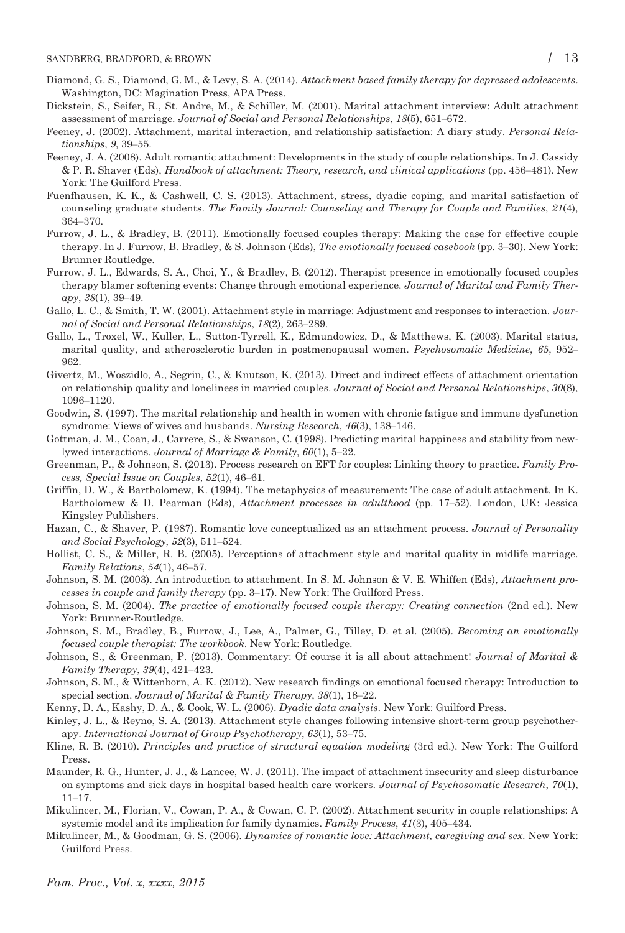- Diamond, G. S., Diamond, G. M., & Levy, S. A. (2014). Attachment based family therapy for depressed adolescents. Washington, DC: Magination Press, APA Press.
- Dickstein, S., Seifer, R., St. Andre, M., & Schiller, M. (2001). Marital attachment interview: Adult attachment assessment of marriage. Journal of Social and Personal Relationships, 18(5), 651–672.
- Feeney, J. (2002). Attachment, marital interaction, and relationship satisfaction: A diary study. Personal Relationships, 9, 39–55.
- Feeney, J. A. (2008). Adult romantic attachment: Developments in the study of couple relationships. In J. Cassidy & P. R. Shaver (Eds), Handbook of attachment: Theory, research, and clinical applications (pp. 456–481). New York: The Guilford Press.
- Fuenfhausen, K. K., & Cashwell, C. S. (2013). Attachment, stress, dyadic coping, and marital satisfaction of counseling graduate students. The Family Journal: Counseling and Therapy for Couple and Families, 21(4), 364–370.
- Furrow, J. L., & Bradley, B. (2011). Emotionally focused couples therapy: Making the case for effective couple therapy. In J. Furrow, B. Bradley, & S. Johnson (Eds), *The emotionally focused casebook* (pp. 3–30). New York: Brunner Routledge.
- Furrow, J. L., Edwards, S. A., Choi, Y., & Bradley, B. (2012). Therapist presence in emotionally focused couples therapy blamer softening events: Change through emotional experience. Journal of Marital and Family Therapy, 38(1), 39–49.
- Gallo, L. C., & Smith, T. W. (2001). Attachment style in marriage: Adjustment and responses to interaction. Journal of Social and Personal Relationships, 18(2), 263–289.
- Gallo, L., Troxel, W., Kuller, L., Sutton-Tyrrell, K., Edmundowicz, D., & Matthews, K. (2003). Marital status, marital quality, and atherosclerotic burden in postmenopausal women. Psychosomatic Medicine, 65, 952– 962.
- Givertz, M., Woszidlo, A., Segrin, C., & Knutson, K. (2013). Direct and indirect effects of attachment orientation on relationship quality and loneliness in married couples. Journal of Social and Personal Relationships, 30(8), 1096–1120.
- Goodwin, S. (1997). The marital relationship and health in women with chronic fatigue and immune dysfunction syndrome: Views of wives and husbands. Nursing Research, 46(3), 138–146.
- Gottman, J. M., Coan, J., Carrere, S., & Swanson, C. (1998). Predicting marital happiness and stability from newlywed interactions. Journal of Marriage & Family, 60(1), 5–22.
- Greenman, P., & Johnson, S. (2013). Process research on EFT for couples: Linking theory to practice. Family Process, Special Issue on Couples, 52(1), 46–61.
- Griffin, D. W., & Bartholomew, K. (1994). The metaphysics of measurement: The case of adult attachment. In K. Bartholomew & D. Pearman (Eds), Attachment processes in adulthood (pp. 17–52). London, UK: Jessica Kingsley Publishers.
- Hazan, C., & Shaver, P. (1987). Romantic love conceptualized as an attachment process. Journal of Personality and Social Psychology, 52(3), 511–524.
- Hollist, C. S., & Miller, R. B. (2005). Perceptions of attachment style and marital quality in midlife marriage. Family Relations, 54(1), 46–57.
- Johnson, S. M. (2003). An introduction to attachment. In S. M. Johnson & V. E. Whiffen (Eds), Attachment processes in couple and family therapy (pp. 3–17). New York: The Guilford Press.
- Johnson, S. M. (2004). The practice of emotionally focused couple therapy: Creating connection (2nd ed.). New York: Brunner-Routledge.
- Johnson, S. M., Bradley, B., Furrow, J., Lee, A., Palmer, G., Tilley, D. et al. (2005). Becoming an emotionally focused couple therapist: The workbook. New York: Routledge.
- Johnson, S., & Greenman, P. (2013). Commentary: Of course it is all about attachment! Journal of Marital & Family Therapy, 39(4), 421–423.
- Johnson, S. M., & Wittenborn, A. K. (2012). New research findings on emotional focused therapy: Introduction to special section. Journal of Marital & Family Therapy, 38(1), 18–22.
- Kenny, D. A., Kashy, D. A., & Cook, W. L. (2006). Dyadic data analysis. New York: Guilford Press.
- Kinley, J. L., & Reyno, S. A. (2013). Attachment style changes following intensive short-term group psychotherapy. International Journal of Group Psychotherapy, 63(1), 53–75.
- Kline, R. B. (2010). Principles and practice of structural equation modeling (3rd ed.). New York: The Guilford Press.
- Maunder, R. G., Hunter, J. J., & Lancee, W. J. (2011). The impact of attachment insecurity and sleep disturbance on symptoms and sick days in hospital based health care workers. Journal of Psychosomatic Research, 70(1), 11–17.
- Mikulincer, M., Florian, V., Cowan, P. A., & Cowan, C. P. (2002). Attachment security in couple relationships: A systemic model and its implication for family dynamics. Family Process, 41(3), 405–434.
- Mikulincer, M., & Goodman, G. S. (2006). Dynamics of romantic love: Attachment, caregiving and sex. New York: Guilford Press.